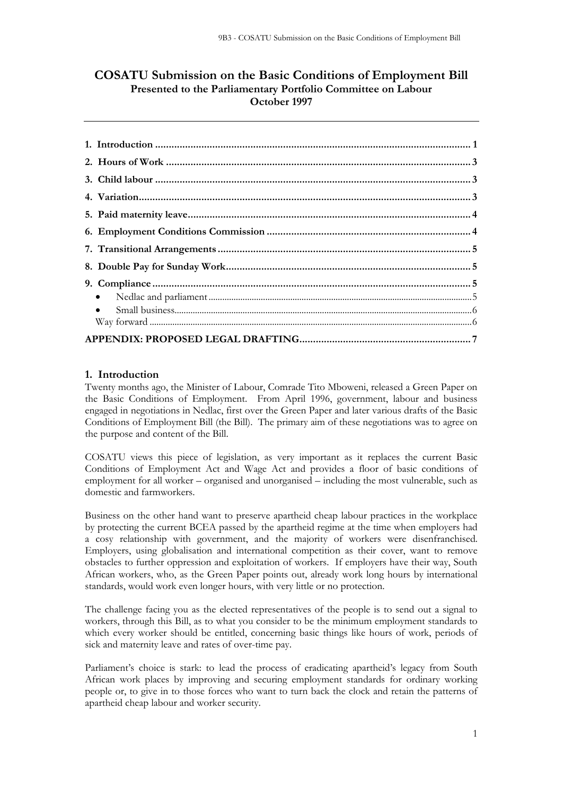# **COSATU Submission on the Basic Conditions of Employment Bill Presented to the Parliamentary Portfolio Committee on Labour October 1997**

| $\bullet$ |  |
|-----------|--|
| $\bullet$ |  |
|           |  |
|           |  |

#### <span id="page-0-0"></span>**1. Introduction**

Twenty months ago, the Minister of Labour, Comrade Tito Mboweni, released a Green Paper on the Basic Conditions of Employment. From April 1996, government, labour and business engaged in negotiations in Nedlac, first over the Green Paper and later various drafts of the Basic Conditions of Employment Bill (the Bill). The primary aim of these negotiations was to agree on the purpose and content of the Bill.

COSATU views this piece of legislation, as very important as it replaces the current Basic Conditions of Employment Act and Wage Act and provides a floor of basic conditions of employment for all worker – organised and unorganised – including the most vulnerable, such as domestic and farmworkers.

Business on the other hand want to preserve apartheid cheap labour practices in the workplace by protecting the current BCEA passed by the apartheid regime at the time when employers had a cosy relationship with government, and the majority of workers were disenfranchised. Employers, using globalisation and international competition as their cover, want to remove obstacles to further oppression and exploitation of workers. If employers have their way, South African workers, who, as the Green Paper points out, already work long hours by international standards, would work even longer hours, with very little or no protection.

The challenge facing you as the elected representatives of the people is to send out a signal to workers, through this Bill, as to what you consider to be the minimum employment standards to which every worker should be entitled, concerning basic things like hours of work, periods of sick and maternity leave and rates of over-time pay.

Parliament's choice is stark: to lead the process of eradicating apartheid's legacy from South African work places by improving and securing employment standards for ordinary working people or, to give in to those forces who want to turn back the clock and retain the patterns of apartheid cheap labour and worker security.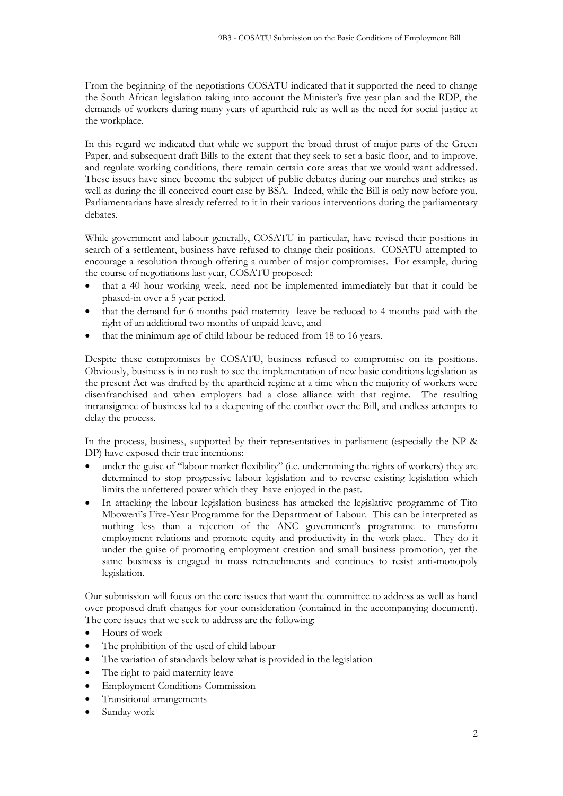From the beginning of the negotiations COSATU indicated that it supported the need to change the South African legislation taking into account the Minister's five year plan and the RDP, the demands of workers during many years of apartheid rule as well as the need for social justice at the workplace.

In this regard we indicated that while we support the broad thrust of major parts of the Green Paper, and subsequent draft Bills to the extent that they seek to set a basic floor, and to improve, and regulate working conditions, there remain certain core areas that we would want addressed. These issues have since become the subject of public debates during our marches and strikes as well as during the ill conceived court case by BSA. Indeed, while the Bill is only now before you, Parliamentarians have already referred to it in their various interventions during the parliamentary debates.

While government and labour generally, COSATU in particular, have revised their positions in search of a settlement, business have refused to change their positions. COSATU attempted to encourage a resolution through offering a number of major compromises. For example, during the course of negotiations last year, COSATU proposed:

- that a 40 hour working week, need not be implemented immediately but that it could be phased-in over a 5 year period.
- that the demand for 6 months paid maternity leave be reduced to 4 months paid with the right of an additional two months of unpaid leave, and
- that the minimum age of child labour be reduced from 18 to 16 years.

Despite these compromises by COSATU, business refused to compromise on its positions. Obviously, business is in no rush to see the implementation of new basic conditions legislation as the present Act was drafted by the apartheid regime at a time when the majority of workers were disenfranchised and when employers had a close alliance with that regime. The resulting intransigence of business led to a deepening of the conflict over the Bill, and endless attempts to delay the process.

In the process, business, supported by their representatives in parliament (especially the NP & DP) have exposed their true intentions:

- under the guise of "labour market flexibility" (i.e. undermining the rights of workers) they are determined to stop progressive labour legislation and to reverse existing legislation which limits the unfettered power which they have enjoyed in the past.
- In attacking the labour legislation business has attacked the legislative programme of Tito Mboweni's Five-Year Programme for the Department of Labour. This can be interpreted as nothing less than a rejection of the ANC government's programme to transform employment relations and promote equity and productivity in the work place. They do it under the guise of promoting employment creation and small business promotion, yet the same business is engaged in mass retrenchments and continues to resist anti-monopoly legislation.

Our submission will focus on the core issues that want the committee to address as well as hand over proposed draft changes for your consideration (contained in the accompanying document). The core issues that we seek to address are the following:

- Hours of work
- The prohibition of the used of child labour
- The variation of standards below what is provided in the legislation
- The right to paid maternity leave
- Employment Conditions Commission
- Transitional arrangements
- Sunday work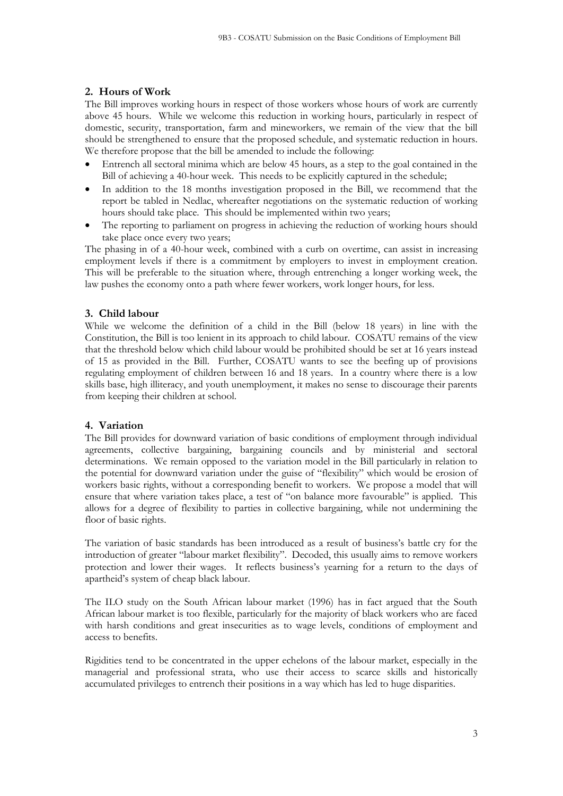### <span id="page-2-0"></span>**2. Hours of Work**

The Bill improves working hours in respect of those workers whose hours of work are currently above 45 hours. While we welcome this reduction in working hours, particularly in respect of domestic, security, transportation, farm and mineworkers, we remain of the view that the bill should be strengthened to ensure that the proposed schedule, and systematic reduction in hours. We therefore propose that the bill be amended to include the following:

- Entrench all sectoral minima which are below 45 hours, as a step to the goal contained in the Bill of achieving a 40-hour week. This needs to be explicitly captured in the schedule;
- In addition to the 18 months investigation proposed in the Bill, we recommend that the report be tabled in Nedlac, whereafter negotiations on the systematic reduction of working hours should take place. This should be implemented within two years;
- The reporting to parliament on progress in achieving the reduction of working hours should take place once every two years;

The phasing in of a 40-hour week, combined with a curb on overtime, can assist in increasing employment levels if there is a commitment by employers to invest in employment creation. This will be preferable to the situation where, through entrenching a longer working week, the law pushes the economy onto a path where fewer workers, work longer hours, for less.

### <span id="page-2-1"></span>**3. Child labour**

While we welcome the definition of a child in the Bill (below 18 years) in line with the Constitution, the Bill is too lenient in its approach to child labour. COSATU remains of the view that the threshold below which child labour would be prohibited should be set at 16 years instead of 15 as provided in the Bill. Further, COSATU wants to see the beefing up of provisions regulating employment of children between 16 and 18 years. In a country where there is a low skills base, high illiteracy, and youth unemployment, it makes no sense to discourage their parents from keeping their children at school.

### <span id="page-2-2"></span>**4. Variation**

The Bill provides for downward variation of basic conditions of employment through individual agreements, collective bargaining, bargaining councils and by ministerial and sectoral determinations. We remain opposed to the variation model in the Bill particularly in relation to the potential for downward variation under the guise of "flexibility" which would be erosion of workers basic rights, without a corresponding benefit to workers. We propose a model that will ensure that where variation takes place, a test of "on balance more favourable" is applied. This allows for a degree of flexibility to parties in collective bargaining, while not undermining the floor of basic rights.

The variation of basic standards has been introduced as a result of business's battle cry for the introduction of greater "labour market flexibility". Decoded, this usually aims to remove workers protection and lower their wages. It reflects business's yearning for a return to the days of apartheid's system of cheap black labour.

The ILO study on the South African labour market (1996) has in fact argued that the South African labour market is too flexible, particularly for the majority of black workers who are faced with harsh conditions and great insecurities as to wage levels, conditions of employment and access to benefits.

Rigidities tend to be concentrated in the upper echelons of the labour market, especially in the managerial and professional strata, who use their access to scarce skills and historically accumulated privileges to entrench their positions in a way which has led to huge disparities.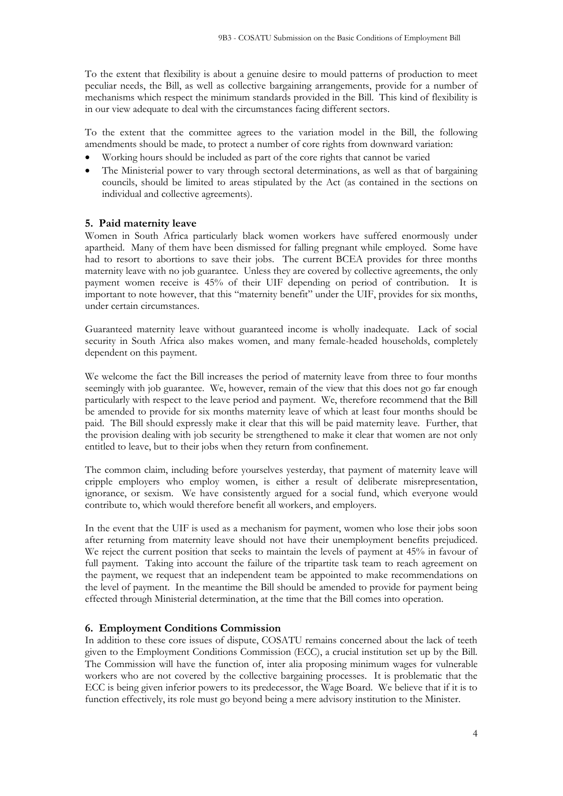To the extent that flexibility is about a genuine desire to mould patterns of production to meet peculiar needs, the Bill, as well as collective bargaining arrangements, provide for a number of mechanisms which respect the minimum standards provided in the Bill. This kind of flexibility is in our view adequate to deal with the circumstances facing different sectors.

To the extent that the committee agrees to the variation model in the Bill, the following amendments should be made, to protect a number of core rights from downward variation:

- Working hours should be included as part of the core rights that cannot be varied
- The Ministerial power to vary through sectoral determinations, as well as that of bargaining councils, should be limited to areas stipulated by the Act (as contained in the sections on individual and collective agreements).

## <span id="page-3-0"></span>**5. Paid maternity leave**

Women in South Africa particularly black women workers have suffered enormously under apartheid. Many of them have been dismissed for falling pregnant while employed. Some have had to resort to abortions to save their jobs. The current BCEA provides for three months maternity leave with no job guarantee. Unless they are covered by collective agreements, the only payment women receive is 45% of their UIF depending on period of contribution. It is important to note however, that this "maternity benefit" under the UIF, provides for six months, under certain circumstances.

Guaranteed maternity leave without guaranteed income is wholly inadequate. Lack of social security in South Africa also makes women, and many female-headed households, completely dependent on this payment.

We welcome the fact the Bill increases the period of maternity leave from three to four months seemingly with job guarantee. We, however, remain of the view that this does not go far enough particularly with respect to the leave period and payment. We, therefore recommend that the Bill be amended to provide for six months maternity leave of which at least four months should be paid. The Bill should expressly make it clear that this will be paid maternity leave. Further, that the provision dealing with job security be strengthened to make it clear that women are not only entitled to leave, but to their jobs when they return from confinement.

The common claim, including before yourselves yesterday, that payment of maternity leave will cripple employers who employ women, is either a result of deliberate misrepresentation, ignorance, or sexism. We have consistently argued for a social fund, which everyone would contribute to, which would therefore benefit all workers, and employers.

In the event that the UIF is used as a mechanism for payment, women who lose their jobs soon after returning from maternity leave should not have their unemployment benefits prejudiced. We reject the current position that seeks to maintain the levels of payment at 45% in favour of full payment. Taking into account the failure of the tripartite task team to reach agreement on the payment, we request that an independent team be appointed to make recommendations on the level of payment. In the meantime the Bill should be amended to provide for payment being effected through Ministerial determination, at the time that the Bill comes into operation.

# <span id="page-3-1"></span>**6. Employment Conditions Commission**

In addition to these core issues of dispute, COSATU remains concerned about the lack of teeth given to the Employment Conditions Commission (ECC), a crucial institution set up by the Bill. The Commission will have the function of, inter alia proposing minimum wages for vulnerable workers who are not covered by the collective bargaining processes. It is problematic that the ECC is being given inferior powers to its predecessor, the Wage Board. We believe that if it is to function effectively, its role must go beyond being a mere advisory institution to the Minister.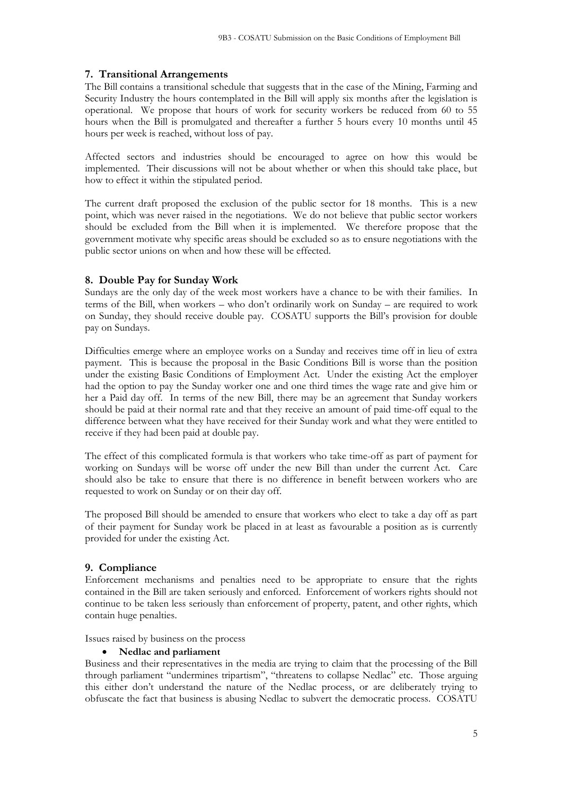## <span id="page-4-0"></span>**7. Transitional Arrangements**

The Bill contains a transitional schedule that suggests that in the case of the Mining, Farming and Security Industry the hours contemplated in the Bill will apply six months after the legislation is operational. We propose that hours of work for security workers be reduced from 60 to 55 hours when the Bill is promulgated and thereafter a further 5 hours every 10 months until 45 hours per week is reached, without loss of pay.

Affected sectors and industries should be encouraged to agree on how this would be implemented. Their discussions will not be about whether or when this should take place, but how to effect it within the stipulated period.

The current draft proposed the exclusion of the public sector for 18 months. This is a new point, which was never raised in the negotiations. We do not believe that public sector workers should be excluded from the Bill when it is implemented. We therefore propose that the government motivate why specific areas should be excluded so as to ensure negotiations with the public sector unions on when and how these will be effected.

## <span id="page-4-1"></span>**8. Double Pay for Sunday Work**

Sundays are the only day of the week most workers have a chance to be with their families. In terms of the Bill, when workers – who don't ordinarily work on Sunday – are required to work on Sunday, they should receive double pay. COSATU supports the Bill's provision for double pay on Sundays.

Difficulties emerge where an employee works on a Sunday and receives time off in lieu of extra payment. This is because the proposal in the Basic Conditions Bill is worse than the position under the existing Basic Conditions of Employment Act. Under the existing Act the employer had the option to pay the Sunday worker one and one third times the wage rate and give him or her a Paid day off. In terms of the new Bill, there may be an agreement that Sunday workers should be paid at their normal rate and that they receive an amount of paid time-off equal to the difference between what they have received for their Sunday work and what they were entitled to receive if they had been paid at double pay.

The effect of this complicated formula is that workers who take time-off as part of payment for working on Sundays will be worse off under the new Bill than under the current Act. Care should also be take to ensure that there is no difference in benefit between workers who are requested to work on Sunday or on their day off.

The proposed Bill should be amended to ensure that workers who elect to take a day off as part of their payment for Sunday work be placed in at least as favourable a position as is currently provided for under the existing Act.

### <span id="page-4-2"></span>**9. Compliance**

Enforcement mechanisms and penalties need to be appropriate to ensure that the rights contained in the Bill are taken seriously and enforced. Enforcement of workers rights should not continue to be taken less seriously than enforcement of property, patent, and other rights, which contain huge penalties.

<span id="page-4-3"></span>Issues raised by business on the process

### • **Nedlac and parliament**

Business and their representatives in the media are trying to claim that the processing of the Bill through parliament "undermines tripartism", "threatens to collapse Nedlac" etc. Those arguing this either don't understand the nature of the Nedlac process, or are deliberately trying to obfuscate the fact that business is abusing Nedlac to subvert the democratic process. COSATU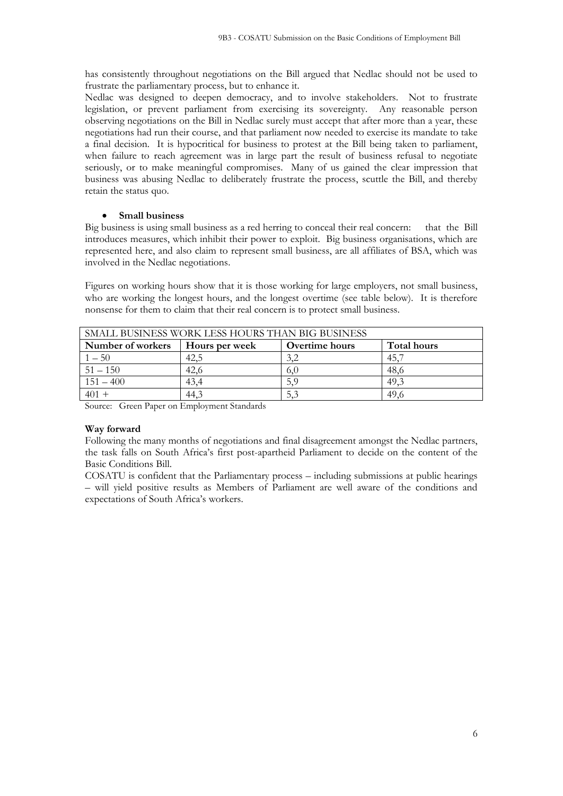has consistently throughout negotiations on the Bill argued that Nedlac should not be used to frustrate the parliamentary process, but to enhance it.

Nedlac was designed to deepen democracy, and to involve stakeholders. Not to frustrate legislation, or prevent parliament from exercising its sovereignty. Any reasonable person observing negotiations on the Bill in Nedlac surely must accept that after more than a year, these negotiations had run their course, and that parliament now needed to exercise its mandate to take a final decision. It is hypocritical for business to protest at the Bill being taken to parliament, when failure to reach agreement was in large part the result of business refusal to negotiate seriously, or to make meaningful compromises. Many of us gained the clear impression that business was abusing Nedlac to deliberately frustrate the process, scuttle the Bill, and thereby retain the status quo.

#### • **Small business**

<span id="page-5-0"></span>Big business is using small business as a red herring to conceal their real concern: that the Bill introduces measures, which inhibit their power to exploit. Big business organisations, which are represented here, and also claim to represent small business, are all affiliates of BSA, which was involved in the Nedlac negotiations.

Figures on working hours show that it is those working for large employers, not small business, who are working the longest hours, and the longest overtime (see table below). It is therefore nonsense for them to claim that their real concern is to protect small business.

| SMALL BUSINESS WORK LESS HOURS THAN BIG BUSINESS |                |                       |             |
|--------------------------------------------------|----------------|-----------------------|-------------|
| Number of workers                                | Hours per week | <b>Overtime</b> hours | Total hours |
| $1 - 50$                                         | 42,5           |                       | 45.         |
| $151 - 150$                                      | 42,6           | 0,0                   | 48,6        |
| $151 - 400$                                      | 43,4           | 5,9                   | 49,3        |
| $401 +$                                          | 44.3           |                       | 49.6        |

Source: Green Paper on Employment Standards

#### <span id="page-5-1"></span>**Way forward**

Following the many months of negotiations and final disagreement amongst the Nedlac partners, the task falls on South Africa's first post-apartheid Parliament to decide on the content of the Basic Conditions Bill.

COSATU is confident that the Parliamentary process – including submissions at public hearings – will yield positive results as Members of Parliament are well aware of the conditions and expectations of South Africa's workers.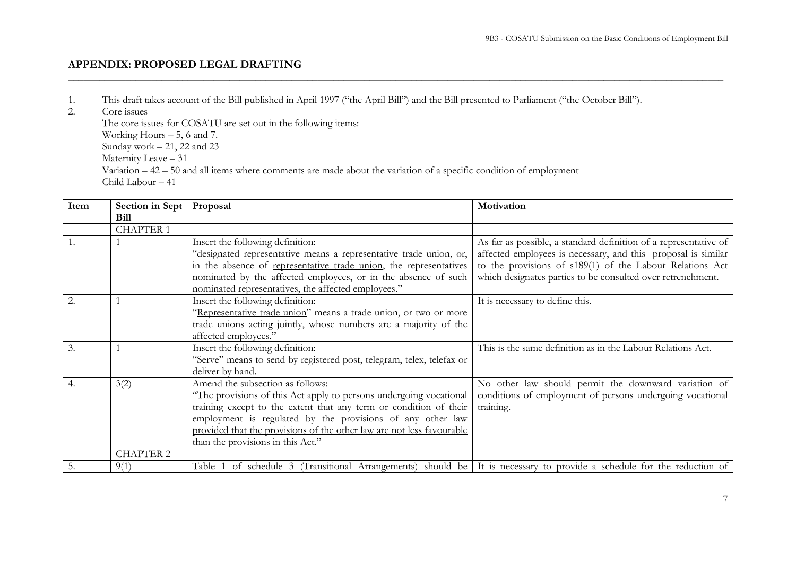# **APPENDIX: PROPOSED LEGAL DRAFTING**

1. This draft takes account of the Bill published in April 1997 ("the April Bill") and the Bill presented to Parliament ("the October Bill").

\_\_\_\_\_\_\_\_\_\_\_\_\_\_\_\_\_\_\_\_\_\_\_\_\_\_\_\_\_\_\_\_\_\_\_\_\_\_\_\_\_\_\_\_\_\_\_\_\_\_\_\_\_\_\_\_\_\_\_\_\_\_\_\_\_\_\_\_\_\_\_\_\_\_\_\_\_\_\_\_\_\_\_\_\_\_\_\_\_\_\_\_\_\_\_\_\_\_\_\_\_\_\_\_\_\_\_\_\_\_\_\_\_\_\_\_\_\_\_\_\_\_\_\_\_\_

Core issues

The core issues for COSATU are set out in the following items: Working Hours – 5, 6 and 7. Sunday work – 21, 22 and 23 Maternity Leave - 31 Variation – 42 – 50 and all items where comments are made about the variation of a specific condition of employment Child Labour – 41

<span id="page-6-0"></span>

| Item | Section in Sept  | Proposal                                                                                                               | Motivation                                                       |
|------|------------------|------------------------------------------------------------------------------------------------------------------------|------------------------------------------------------------------|
|      | <b>Bill</b>      |                                                                                                                        |                                                                  |
|      | <b>CHAPTER 1</b> |                                                                                                                        |                                                                  |
|      |                  | Insert the following definition:                                                                                       | As far as possible, a standard definition of a representative of |
|      |                  | "designated representative means a representative trade union, or,                                                     | affected employees is necessary, and this proposal is similar    |
|      |                  | in the absence of representative trade union, the representatives                                                      | to the provisions of s189(1) of the Labour Relations Act         |
|      |                  | nominated by the affected employees, or in the absence of such                                                         | which designates parties to be consulted over retrenchment.      |
|      |                  | nominated representatives, the affected employees."                                                                    |                                                                  |
| 2.   |                  | Insert the following definition:                                                                                       | It is necessary to define this.                                  |
|      |                  | "Representative trade union" means a trade union, or two or more                                                       |                                                                  |
|      |                  | trade unions acting jointly, whose numbers are a majority of the                                                       |                                                                  |
|      |                  | affected employees."                                                                                                   |                                                                  |
| 3.   |                  | Insert the following definition:                                                                                       | This is the same definition as in the Labour Relations Act.      |
|      |                  | "Serve" means to send by registered post, telegram, telex, telefax or                                                  |                                                                  |
|      |                  | deliver by hand.                                                                                                       |                                                                  |
| 4.   | 3(2)             | Amend the subsection as follows:                                                                                       | No other law should permit the downward variation of             |
|      |                  | "The provisions of this Act apply to persons undergoing vocational                                                     | conditions of employment of persons undergoing vocational        |
|      |                  | training except to the extent that any term or condition of their                                                      | training.                                                        |
|      |                  | employment is regulated by the provisions of any other law                                                             |                                                                  |
|      |                  | provided that the provisions of the other law are not less favourable                                                  |                                                                  |
|      |                  | than the provisions in this Act."                                                                                      |                                                                  |
|      | <b>CHAPTER 2</b> |                                                                                                                        |                                                                  |
| 5.   | 9(1)             | Table 1 of schedule 3 (Transitional Arrangements) should be It is necessary to provide a schedule for the reduction of |                                                                  |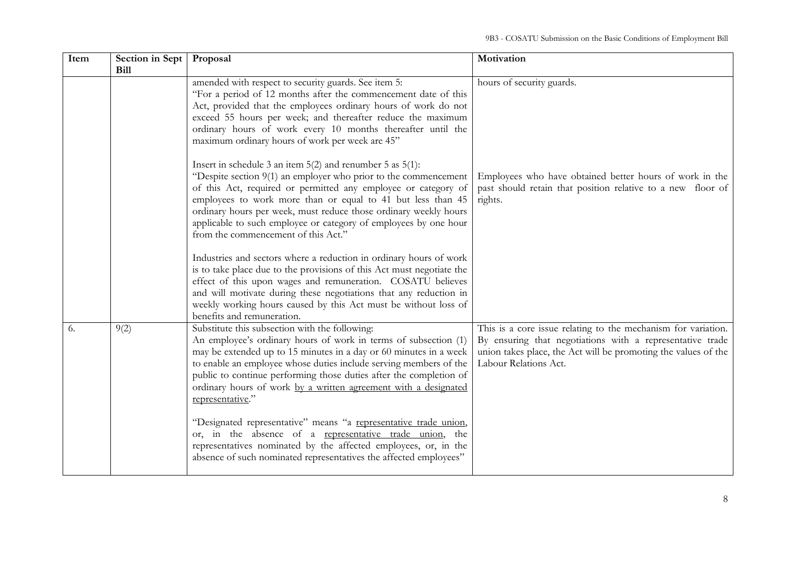| Item | Section in Sept<br><b>Bill</b> | Proposal                                                                                                                                                                                                                                                                                                                                                                                                                                          | Motivation                                                                                                                                                                                                            |
|------|--------------------------------|---------------------------------------------------------------------------------------------------------------------------------------------------------------------------------------------------------------------------------------------------------------------------------------------------------------------------------------------------------------------------------------------------------------------------------------------------|-----------------------------------------------------------------------------------------------------------------------------------------------------------------------------------------------------------------------|
|      |                                | amended with respect to security guards. See item 5:<br>"For a period of 12 months after the commencement date of this<br>Act, provided that the employees ordinary hours of work do not<br>exceed 55 hours per week; and thereafter reduce the maximum<br>ordinary hours of work every 10 months thereafter until the<br>maximum ordinary hours of work per week are 45"                                                                         | hours of security guards.                                                                                                                                                                                             |
|      |                                | Insert in schedule 3 an item $5(2)$ and renumber 5 as $5(1)$ :<br>"Despite section 9(1) an employer who prior to the commencement<br>of this Act, required or permitted any employee or category of<br>employees to work more than or equal to 41 but less than 45<br>ordinary hours per week, must reduce those ordinary weekly hours<br>applicable to such employee or category of employees by one hour<br>from the commencement of this Act." | Employees who have obtained better hours of work in the<br>past should retain that position relative to a new floor of<br>rights.                                                                                     |
|      |                                | Industries and sectors where a reduction in ordinary hours of work<br>is to take place due to the provisions of this Act must negotiate the<br>effect of this upon wages and remuneration. COSATU believes<br>and will motivate during these negotiations that any reduction in<br>weekly working hours caused by this Act must be without loss of<br>benefits and remuneration.                                                                  |                                                                                                                                                                                                                       |
| 6.   | 9(2)                           | Substitute this subsection with the following:<br>An employee's ordinary hours of work in terms of subsection (1)<br>may be extended up to 15 minutes in a day or 60 minutes in a week<br>to enable an employee whose duties include serving members of the<br>public to continue performing those duties after the completion of<br>ordinary hours of work by a written agreement with a designated<br>representative."                          | This is a core issue relating to the mechanism for variation.<br>By ensuring that negotiations with a representative trade<br>union takes place, the Act will be promoting the values of the<br>Labour Relations Act. |
|      |                                | "Designated representative" means "a representative trade union,<br>or, in the absence of a representative trade union, the<br>representatives nominated by the affected employees, or, in the<br>absence of such nominated representatives the affected employees"                                                                                                                                                                               |                                                                                                                                                                                                                       |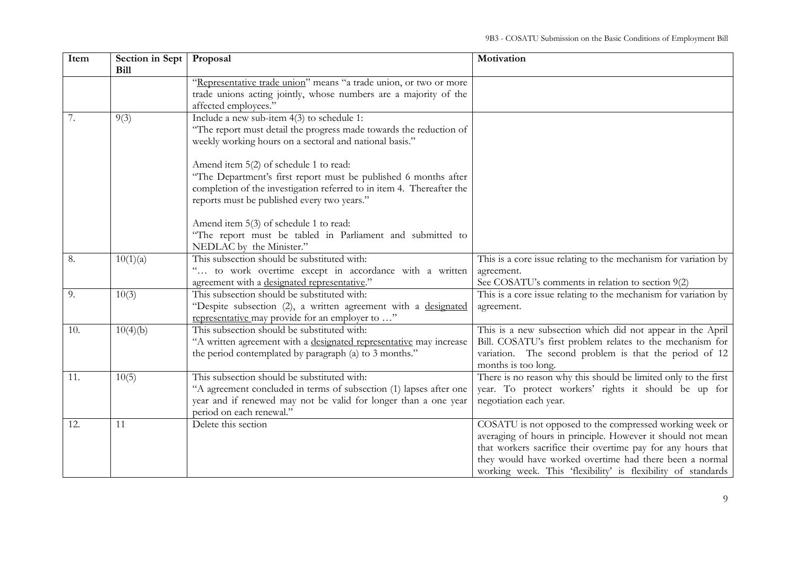| Item | Section in Sept<br><b>Bill</b> | Proposal                                                                                                                                                                                                                                                                                 | Motivation                                                                                                                                                                                                                                                                                                        |
|------|--------------------------------|------------------------------------------------------------------------------------------------------------------------------------------------------------------------------------------------------------------------------------------------------------------------------------------|-------------------------------------------------------------------------------------------------------------------------------------------------------------------------------------------------------------------------------------------------------------------------------------------------------------------|
|      |                                | "Representative trade union" means "a trade union, or two or more<br>trade unions acting jointly, whose numbers are a majority of the<br>affected employees."                                                                                                                            |                                                                                                                                                                                                                                                                                                                   |
| 7.   | 9(3)                           | Include a new sub-item 4(3) to schedule 1:<br>"The report must detail the progress made towards the reduction of<br>weekly working hours on a sectoral and national basis."<br>Amend item 5(2) of schedule 1 to read:<br>"The Department's first report must be published 6 months after |                                                                                                                                                                                                                                                                                                                   |
|      |                                | completion of the investigation referred to in item 4. Thereafter the<br>reports must be published every two years."<br>Amend item 5(3) of schedule 1 to read:<br>"The report must be tabled in Parliament and submitted to<br>NEDLAC by the Minister."                                  |                                                                                                                                                                                                                                                                                                                   |
| 8.   | 10(1)(a)                       | This subsection should be substituted with:<br>" to work overtime except in accordance with a written<br>agreement with a designated representative."                                                                                                                                    | This is a core issue relating to the mechanism for variation by<br>agreement.<br>See COSATU's comments in relation to section 9(2)                                                                                                                                                                                |
| 9.   | 10(3)                          | This subsection should be substituted with:<br>"Despite subsection (2), a written agreement with a designated<br>representative may provide for an employer to "                                                                                                                         | This is a core issue relating to the mechanism for variation by<br>agreement.                                                                                                                                                                                                                                     |
| 10.  | 10(4)(b)                       | This subsection should be substituted with:<br>"A written agreement with a designated representative may increase<br>the period contemplated by paragraph (a) to 3 months."                                                                                                              | This is a new subsection which did not appear in the April<br>Bill. COSATU's first problem relates to the mechanism for<br>variation. The second problem is that the period of 12<br>months is too long.                                                                                                          |
| 11.  | 10(5)                          | This subsection should be substituted with:<br>"A agreement concluded in terms of subsection (1) lapses after one<br>year and if renewed may not be valid for longer than a one year<br>period on each renewal."                                                                         | There is no reason why this should be limited only to the first<br>year. To protect workers' rights it should be up for<br>negotiation each year.                                                                                                                                                                 |
| 12.  | 11                             | Delete this section                                                                                                                                                                                                                                                                      | COSATU is not opposed to the compressed working week or<br>averaging of hours in principle. However it should not mean<br>that workers sacrifice their overtime pay for any hours that<br>they would have worked overtime had there been a normal<br>working week. This 'flexibility' is flexibility of standards |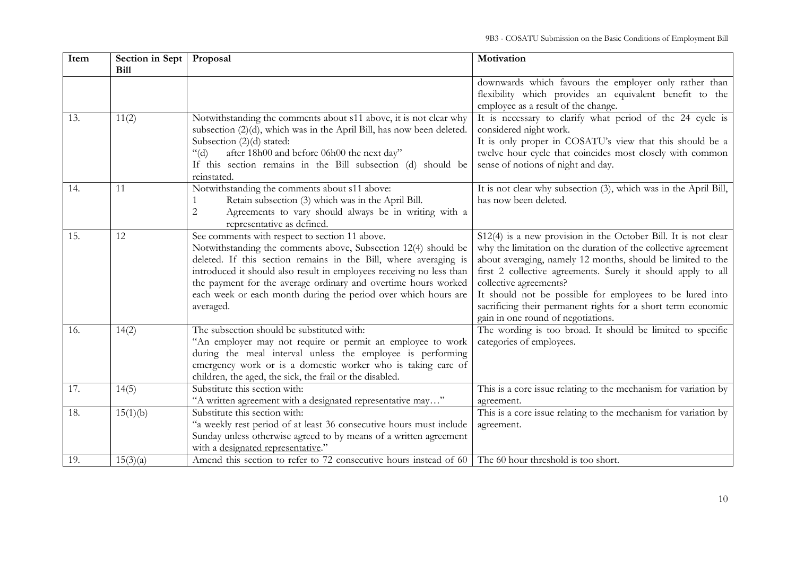| Item | Section in Sept   Proposal |                                                                                                                                          | Motivation                                                                                                                  |
|------|----------------------------|------------------------------------------------------------------------------------------------------------------------------------------|-----------------------------------------------------------------------------------------------------------------------------|
|      | <b>Bill</b>                |                                                                                                                                          |                                                                                                                             |
|      |                            |                                                                                                                                          | downwards which favours the employer only rather than                                                                       |
|      |                            |                                                                                                                                          | flexibility which provides an equivalent benefit to the                                                                     |
|      |                            |                                                                                                                                          | employee as a result of the change.                                                                                         |
| 13.  | 11(2)                      | Notwithstanding the comments about s11 above, it is not clear why                                                                        | It is necessary to clarify what period of the 24 cycle is                                                                   |
|      |                            | subsection (2)(d), which was in the April Bill, has now been deleted.                                                                    | considered night work.                                                                                                      |
|      |                            | Subsection $(2)(d)$ stated:<br>after 18h00 and before 06h00 the next day"                                                                | It is only proper in COSATU's view that this should be a<br>twelve hour cycle that coincides most closely with common       |
|      |                            | $\lq\lq$ (d)<br>If this section remains in the Bill subsection (d) should be                                                             | sense of notions of night and day.                                                                                          |
|      |                            | reinstated.                                                                                                                              |                                                                                                                             |
| 14.  | 11                         | Notwithstanding the comments about s11 above:                                                                                            | It is not clear why subsection (3), which was in the April Bill,                                                            |
|      |                            | Retain subsection (3) which was in the April Bill.                                                                                       | has now been deleted.                                                                                                       |
|      |                            | Agreements to vary should always be in writing with a<br>$\overline{c}$                                                                  |                                                                                                                             |
|      |                            | representative as defined.                                                                                                               |                                                                                                                             |
| 15.  | 12                         | See comments with respect to section 11 above.                                                                                           | S12(4) is a new provision in the October Bill. It is not clear                                                              |
|      |                            | Notwithstanding the comments above, Subsection 12(4) should be                                                                           | why the limitation on the duration of the collective agreement                                                              |
|      |                            | deleted. If this section remains in the Bill, where averaging is<br>introduced it should also result in employees receiving no less than | about averaging, namely 12 months, should be limited to the<br>first 2 collective agreements. Surely it should apply to all |
|      |                            | the payment for the average ordinary and overtime hours worked                                                                           | collective agreements?                                                                                                      |
|      |                            | each week or each month during the period over which hours are                                                                           | It should not be possible for employees to be lured into                                                                    |
|      |                            | averaged.                                                                                                                                | sacrificing their permanent rights for a short term economic                                                                |
|      |                            |                                                                                                                                          | gain in one round of negotiations.                                                                                          |
| 16.  | 14(2)                      | The subsection should be substituted with:                                                                                               | The wording is too broad. It should be limited to specific                                                                  |
|      |                            | "An employer may not require or permit an employee to work                                                                               | categories of employees.                                                                                                    |
|      |                            | during the meal interval unless the employee is performing                                                                               |                                                                                                                             |
|      |                            | emergency work or is a domestic worker who is taking care of                                                                             |                                                                                                                             |
|      |                            | children, the aged, the sick, the frail or the disabled.                                                                                 |                                                                                                                             |
| 17.  | 14(5)                      | Substitute this section with:                                                                                                            | This is a core issue relating to the mechanism for variation by                                                             |
|      |                            | "A written agreement with a designated representative may"                                                                               | agreement.                                                                                                                  |
| 18.  | 15(1)(b)                   | Substitute this section with:                                                                                                            | This is a core issue relating to the mechanism for variation by                                                             |
|      |                            | "a weekly rest period of at least 36 consecutive hours must include                                                                      | agreement.                                                                                                                  |
|      |                            | Sunday unless otherwise agreed to by means of a written agreement<br>with a designated representative."                                  |                                                                                                                             |
| 19.  | 15(3)(a)                   | Amend this section to refer to 72 consecutive hours instead of 60                                                                        | The 60 hour threshold is too short.                                                                                         |
|      |                            |                                                                                                                                          |                                                                                                                             |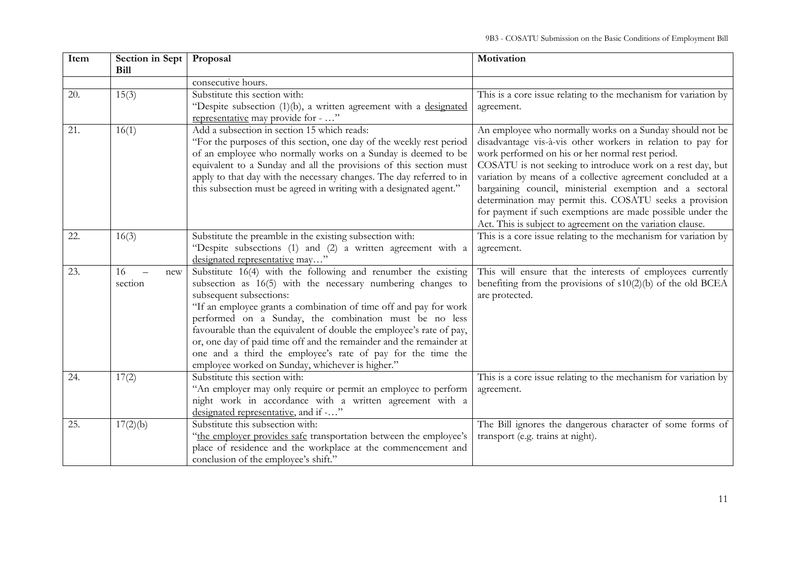| Item | Section in Sept | Proposal                                                             | Motivation                                                                                                                    |
|------|-----------------|----------------------------------------------------------------------|-------------------------------------------------------------------------------------------------------------------------------|
|      | Bill            |                                                                      |                                                                                                                               |
|      |                 | consecutive hours.                                                   |                                                                                                                               |
| 20.  | 15(3)           | Substitute this section with:                                        | This is a core issue relating to the mechanism for variation by                                                               |
|      |                 | "Despite subsection (1)(b), a written agreement with a designated    | agreement.                                                                                                                    |
|      |                 | representative may provide for - "                                   |                                                                                                                               |
| 21.  | 16(1)           | Add a subsection in section 15 which reads:                          | An employee who normally works on a Sunday should not be                                                                      |
|      |                 | "For the purposes of this section, one day of the weekly rest period | disadvantage vis-à-vis other workers in relation to pay for                                                                   |
|      |                 | of an employee who normally works on a Sunday is deemed to be        | work performed on his or her normal rest period.                                                                              |
|      |                 | equivalent to a Sunday and all the provisions of this section must   | COSATU is not seeking to introduce work on a rest day, but                                                                    |
|      |                 | apply to that day with the necessary changes. The day referred to in | variation by means of a collective agreement concluded at a                                                                   |
|      |                 | this subsection must be agreed in writing with a designated agent."  | bargaining council, ministerial exemption and a sectoral                                                                      |
|      |                 |                                                                      | determination may permit this. COSATU seeks a provision                                                                       |
|      |                 |                                                                      | for payment if such exemptions are made possible under the                                                                    |
| 22.  |                 | Substitute the preamble in the existing subsection with:             | Act. This is subject to agreement on the variation clause.<br>This is a core issue relating to the mechanism for variation by |
|      | 16(3)           | "Despite subsections (1) and (2) a written agreement with a          | agreement.                                                                                                                    |
|      |                 | designated representative may"                                       |                                                                                                                               |
| 23.  | 16<br>new       | Substitute 16(4) with the following and renumber the existing        | This will ensure that the interests of employees currently                                                                    |
|      | section         | subsection as 16(5) with the necessary numbering changes to          | benefiting from the provisions of $s10(2)(b)$ of the old BCEA                                                                 |
|      |                 | subsequent subsections:                                              | are protected.                                                                                                                |
|      |                 | "If an employee grants a combination of time off and pay for work    |                                                                                                                               |
|      |                 | performed on a Sunday, the combination must be no less               |                                                                                                                               |
|      |                 | favourable than the equivalent of double the employee's rate of pay, |                                                                                                                               |
|      |                 | or, one day of paid time off and the remainder and the remainder at  |                                                                                                                               |
|      |                 | one and a third the employee's rate of pay for the time the          |                                                                                                                               |
|      |                 | employee worked on Sunday, whichever is higher."                     |                                                                                                                               |
| 24.  | 17(2)           | Substitute this section with:                                        | This is a core issue relating to the mechanism for variation by                                                               |
|      |                 | "An employer may only require or permit an employee to perform       | agreement.                                                                                                                    |
|      |                 | night work in accordance with a written agreement with a             |                                                                                                                               |
|      |                 | designated representative, and if -"                                 |                                                                                                                               |
| 25.  | 17(2)(b)        | Substitute this subsection with:                                     | The Bill ignores the dangerous character of some forms of                                                                     |
|      |                 | "the employer provides safe transportation between the employee's    | transport (e.g. trains at night).                                                                                             |
|      |                 | place of residence and the workplace at the commencement and         |                                                                                                                               |
|      |                 | conclusion of the employee's shift."                                 |                                                                                                                               |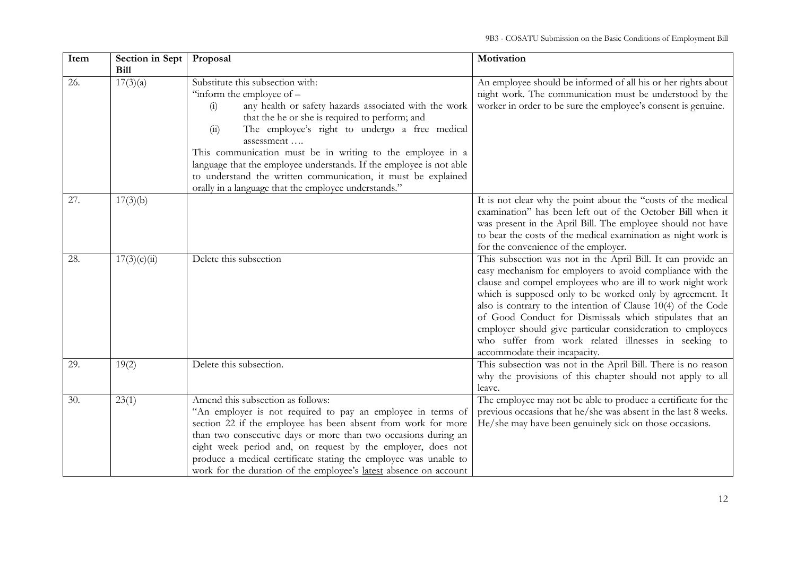| Item | Section in Sept<br><b>Bill</b> | Proposal                                                                                                                                                                                                                                                                                                                                                                                                                                                                                                                | Motivation                                                                                                                                                                                                                                                                                                                                                                                                                                                                                                                              |
|------|--------------------------------|-------------------------------------------------------------------------------------------------------------------------------------------------------------------------------------------------------------------------------------------------------------------------------------------------------------------------------------------------------------------------------------------------------------------------------------------------------------------------------------------------------------------------|-----------------------------------------------------------------------------------------------------------------------------------------------------------------------------------------------------------------------------------------------------------------------------------------------------------------------------------------------------------------------------------------------------------------------------------------------------------------------------------------------------------------------------------------|
| 26.  | 17(3)(a)                       | Substitute this subsection with:<br>"inform the employee of $-$<br>any health or safety hazards associated with the work<br>(i)<br>that the he or she is required to perform; and<br>The employee's right to undergo a free medical<br>(ii)<br>assessment<br>This communication must be in writing to the employee in a<br>language that the employee understands. If the employee is not able<br>to understand the written communication, it must be explained<br>orally in a language that the employee understands." | An employee should be informed of all his or her rights about<br>night work. The communication must be understood by the<br>worker in order to be sure the employee's consent is genuine.                                                                                                                                                                                                                                                                                                                                               |
| 27.  | 17(3)(b)                       |                                                                                                                                                                                                                                                                                                                                                                                                                                                                                                                         | It is not clear why the point about the "costs of the medical<br>examination" has been left out of the October Bill when it<br>was present in the April Bill. The employee should not have<br>to bear the costs of the medical examination as night work is<br>for the convenience of the employer.                                                                                                                                                                                                                                     |
| 28.  | 17(3)(c)(ii)                   | Delete this subsection                                                                                                                                                                                                                                                                                                                                                                                                                                                                                                  | This subsection was not in the April Bill. It can provide an<br>easy mechanism for employers to avoid compliance with the<br>clause and compel employees who are ill to work night work<br>which is supposed only to be worked only by agreement. It<br>also is contrary to the intention of Clause 10(4) of the Code<br>of Good Conduct for Dismissals which stipulates that an<br>employer should give particular consideration to employees<br>who suffer from work related illnesses in seeking to<br>accommodate their incapacity. |
| 29.  | 19(2)                          | Delete this subsection.                                                                                                                                                                                                                                                                                                                                                                                                                                                                                                 | This subsection was not in the April Bill. There is no reason<br>why the provisions of this chapter should not apply to all<br>leave.                                                                                                                                                                                                                                                                                                                                                                                                   |
| 30.  | 23(1)                          | Amend this subsection as follows:<br>"An employer is not required to pay an employee in terms of<br>section 22 if the employee has been absent from work for more<br>than two consecutive days or more than two occasions during an<br>eight week period and, on request by the employer, does not<br>produce a medical certificate stating the employee was unable to<br>work for the duration of the employee's latest absence on account                                                                             | The employee may not be able to produce a certificate for the<br>previous occasions that he/she was absent in the last 8 weeks.<br>He/she may have been genuinely sick on those occasions.                                                                                                                                                                                                                                                                                                                                              |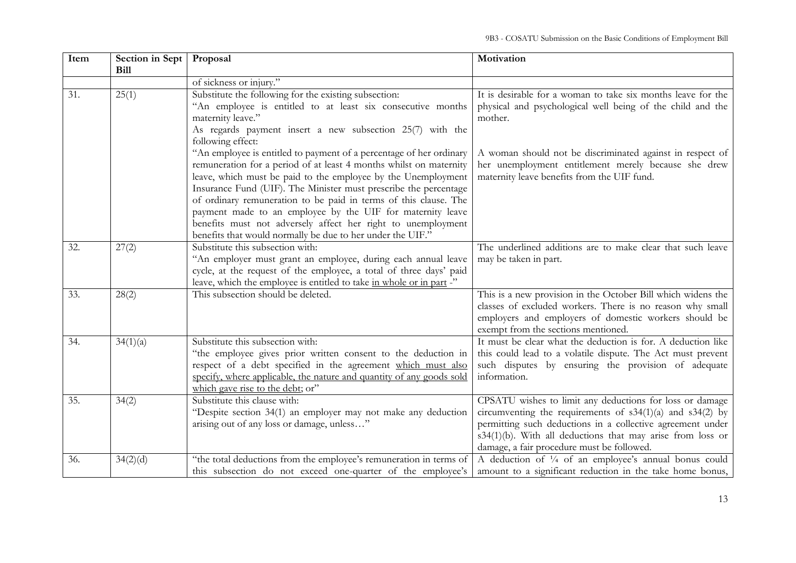| Item | Section in Sept<br>Bill | Proposal                                                                                                                                                                                                                                                                                                                                                                                                                                                                                                                                       | Motivation                                                                                                                                                                                                                                                                                          |
|------|-------------------------|------------------------------------------------------------------------------------------------------------------------------------------------------------------------------------------------------------------------------------------------------------------------------------------------------------------------------------------------------------------------------------------------------------------------------------------------------------------------------------------------------------------------------------------------|-----------------------------------------------------------------------------------------------------------------------------------------------------------------------------------------------------------------------------------------------------------------------------------------------------|
|      |                         | of sickness or injury."                                                                                                                                                                                                                                                                                                                                                                                                                                                                                                                        |                                                                                                                                                                                                                                                                                                     |
| 31.  | 25(1)                   | Substitute the following for the existing subsection:<br>"An employee is entitled to at least six consecutive months<br>maternity leave."<br>As regards payment insert a new subsection 25(7) with the<br>following effect:                                                                                                                                                                                                                                                                                                                    | It is desirable for a woman to take six months leave for the<br>physical and psychological well being of the child and the<br>mother.                                                                                                                                                               |
|      |                         | "An employee is entitled to payment of a percentage of her ordinary<br>remuneration for a period of at least 4 months whilst on maternity<br>leave, which must be paid to the employee by the Unemployment<br>Insurance Fund (UIF). The Minister must prescribe the percentage<br>of ordinary remuneration to be paid in terms of this clause. The<br>payment made to an employee by the UIF for maternity leave<br>benefits must not adversely affect her right to unemployment<br>benefits that would normally be due to her under the UIF." | A woman should not be discriminated against in respect of<br>her unemployment entitlement merely because she drew<br>maternity leave benefits from the UIF fund.                                                                                                                                    |
| 32.  | 27(2)                   | Substitute this subsection with:<br>"An employer must grant an employee, during each annual leave<br>cycle, at the request of the employee, a total of three days' paid<br>leave, which the employee is entitled to take in whole or in part -"                                                                                                                                                                                                                                                                                                | The underlined additions are to make clear that such leave<br>may be taken in part.                                                                                                                                                                                                                 |
| 33.  | 28(2)                   | This subsection should be deleted.                                                                                                                                                                                                                                                                                                                                                                                                                                                                                                             | This is a new provision in the October Bill which widens the<br>classes of excluded workers. There is no reason why small<br>employers and employers of domestic workers should be<br>exempt from the sections mentioned.                                                                           |
| 34.  | 34(1)(a)                | Substitute this subsection with:<br>"the employee gives prior written consent to the deduction in<br>respect of a debt specified in the agreement which must also<br>specify, where applicable, the nature and quantity of any goods sold<br>which gave rise to the debt; or"                                                                                                                                                                                                                                                                  | It must be clear what the deduction is for. A deduction like<br>this could lead to a volatile dispute. The Act must prevent<br>such disputes by ensuring the provision of adequate<br>information.                                                                                                  |
| 35.  | 34(2)                   | Substitute this clause with:<br>"Despite section 34(1) an employer may not make any deduction<br>arising out of any loss or damage, unless"                                                                                                                                                                                                                                                                                                                                                                                                    | CPSATU wishes to limit any deductions for loss or damage<br>circumventing the requirements of $s34(1)(a)$ and $s34(2)$ by<br>permitting such deductions in a collective agreement under<br>s34(1)(b). With all deductions that may arise from loss or<br>damage, a fair procedure must be followed. |
| 36.  | 34(2)(d)                | "the total deductions from the employee's remuneration in terms of<br>this subsection do not exceed one-quarter of the employee's                                                                                                                                                                                                                                                                                                                                                                                                              | A deduction of 1/4 of an employee's annual bonus could<br>amount to a significant reduction in the take home bonus,                                                                                                                                                                                 |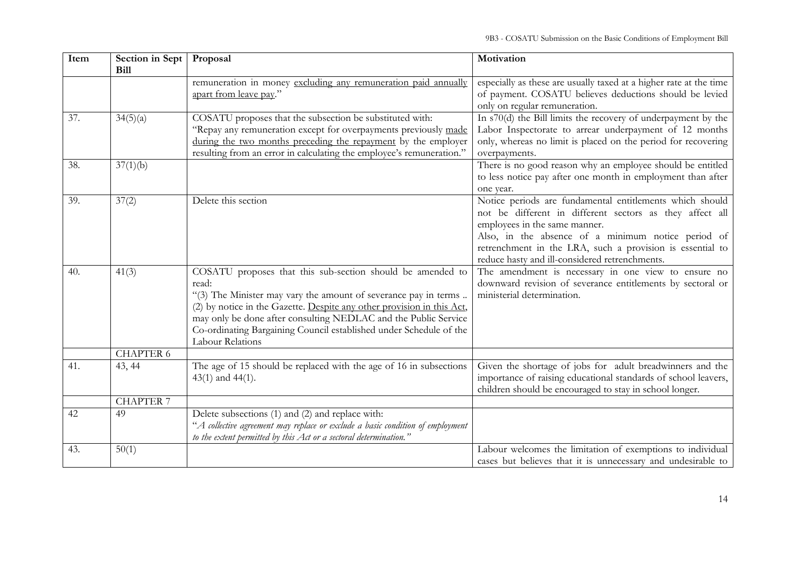| Item | Section in Sept<br><b>Bill</b> | Proposal                                                                                                                                                                                                                                                                                                                                                                      | Motivation                                                                                                                                                                                                                                                                                                                 |
|------|--------------------------------|-------------------------------------------------------------------------------------------------------------------------------------------------------------------------------------------------------------------------------------------------------------------------------------------------------------------------------------------------------------------------------|----------------------------------------------------------------------------------------------------------------------------------------------------------------------------------------------------------------------------------------------------------------------------------------------------------------------------|
|      |                                | remuneration in money excluding any remuneration paid annually<br>apart from leave pay."                                                                                                                                                                                                                                                                                      | especially as these are usually taxed at a higher rate at the time<br>of payment. COSATU believes deductions should be levied<br>only on regular remuneration.                                                                                                                                                             |
| 37.  | 34(5)(a)                       | COSATU proposes that the subsection be substituted with:<br>"Repay any remuneration except for overpayments previously made<br>during the two months preceding the repayment by the employer<br>resulting from an error in calculating the employee's remuneration."                                                                                                          | In s70(d) the Bill limits the recovery of underpayment by the<br>Labor Inspectorate to arrear underpayment of 12 months<br>only, whereas no limit is placed on the period for recovering<br>overpayments.                                                                                                                  |
| 38.  | 37(1)(b)                       |                                                                                                                                                                                                                                                                                                                                                                               | There is no good reason why an employee should be entitled<br>to less notice pay after one month in employment than after<br>one year.                                                                                                                                                                                     |
| 39.  | 37(2)                          | Delete this section                                                                                                                                                                                                                                                                                                                                                           | Notice periods are fundamental entitlements which should<br>not be different in different sectors as they affect all<br>employees in the same manner.<br>Also, in the absence of a minimum notice period of<br>retrenchment in the LRA, such a provision is essential to<br>reduce hasty and ill-considered retrenchments. |
| 40.  | 41(3)                          | COSATU proposes that this sub-section should be amended to<br>read:<br>"(3) The Minister may vary the amount of severance pay in terms<br>(2) by notice in the Gazette. Despite any other provision in this Act,<br>may only be done after consulting NEDLAC and the Public Service<br>Co-ordinating Bargaining Council established under Schedule of the<br>Labour Relations | The amendment is necessary in one view to ensure no<br>downward revision of severance entitlements by sectoral or<br>ministerial determination.                                                                                                                                                                            |
|      | <b>CHAPTER 6</b>               |                                                                                                                                                                                                                                                                                                                                                                               |                                                                                                                                                                                                                                                                                                                            |
| 41.  | 43, 44                         | The age of 15 should be replaced with the age of 16 in subsections<br>43(1) and 44(1).                                                                                                                                                                                                                                                                                        | Given the shortage of jobs for adult breadwinners and the<br>importance of raising educational standards of school leavers,<br>children should be encouraged to stay in school longer.                                                                                                                                     |
|      | <b>CHAPTER 7</b>               |                                                                                                                                                                                                                                                                                                                                                                               |                                                                                                                                                                                                                                                                                                                            |
| 42   | 49                             | Delete subsections (1) and (2) and replace with:<br>"A collective agreement may replace or exclude a basic condition of employment<br>to the extent permitted by this Act or a sectoral determination."                                                                                                                                                                       |                                                                                                                                                                                                                                                                                                                            |
| 43.  | 50(1)                          |                                                                                                                                                                                                                                                                                                                                                                               | Labour welcomes the limitation of exemptions to individual<br>cases but believes that it is unnecessary and undesirable to                                                                                                                                                                                                 |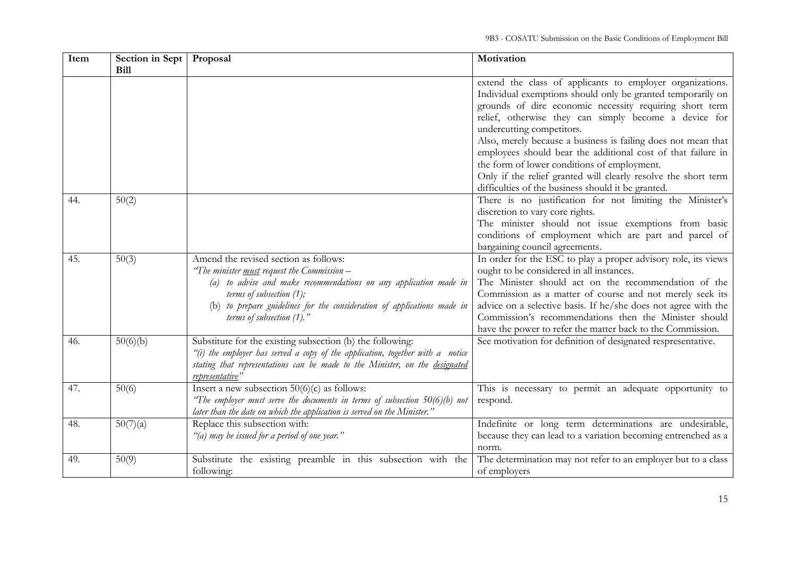| Item | Section in Sept | Proposal                                                                       | Motivation                                                     |
|------|-----------------|--------------------------------------------------------------------------------|----------------------------------------------------------------|
|      | <b>Bill</b>     |                                                                                |                                                                |
|      |                 |                                                                                | extend the class of applicants to employer organizations.      |
|      |                 |                                                                                | Individual exemptions should only be granted temporarily on    |
|      |                 |                                                                                | grounds of dire economic necessity requiring short term        |
|      |                 |                                                                                | relief, otherwise they can simply become a device for          |
|      |                 |                                                                                | undercutting competitors.                                      |
|      |                 |                                                                                | Also, merely because a business is failing does not mean that  |
|      |                 |                                                                                | employees should bear the additional cost of that failure in   |
|      |                 |                                                                                | the form of lower conditions of employment.                    |
|      |                 |                                                                                | Only if the relief granted will clearly resolve the short term |
|      |                 |                                                                                | difficulties of the business should it be granted.             |
| 44.  | 50(2)           |                                                                                | There is no justification for not limiting the Minister's      |
|      |                 |                                                                                | discretion to vary core rights.                                |
|      |                 |                                                                                | The minister should not issue exemptions from basic            |
|      |                 |                                                                                | conditions of employment which are part and parcel of          |
|      |                 |                                                                                | bargaining council agreements.                                 |
| 45.  | 50(3)           | Amend the revised section as follows:                                          | In order for the ESC to play a proper advisory role, its views |
|      |                 | "The minister <u>must</u> request the Commission –                             | ought to be considered in all instances.                       |
|      |                 | (a) to advise and make recommendations on any application made in              | The Minister should act on the recommendation of the           |
|      |                 | terms of subsection $(1)$ ;                                                    | Commission as a matter of course and not merely seek its       |
|      |                 | (b) to prepare guidelines for the consideration of applications made in        | advice on a selective basis. If he/she does not agree with the |
|      |                 | terms of subsection (1)."                                                      | Commission's recommendations then the Minister should          |
|      |                 |                                                                                | have the power to refer the matter back to the Commission.     |
| 46.  | 50(6)(b)        | Substitute for the existing subsection (b) the following:                      | See motivation for definition of designated respresentative.   |
|      |                 | "(i) the employer has served a copy of the application, together with a notice |                                                                |
|      |                 | stating that representations can be made to the Minister, on the designated    |                                                                |
|      |                 | representative'                                                                |                                                                |
| 47.  | 50(6)           | Insert a new subsection $50(6)(c)$ as follows:                                 | This is necessary to permit an adequate opportunity to         |
|      |                 | "The employer must serve the documents in terms of subsection $50(6)(b)$ not   | respond.                                                       |
|      |                 | later than the date on which the application is served on the Minister."       |                                                                |
| 48.  | 50(7)(a)        | Replace this subsection with:                                                  | Indefinite or long term determinations are undesirable,        |
|      |                 | "(a) may be issued for a period of one year."                                  | because they can lead to a variation becoming entrenched as a  |
|      |                 |                                                                                | norm.                                                          |
| 49.  | 50(9)           | Substitute the existing preamble in this subsection with the                   | The determination may not refer to an employer but to a class  |
|      |                 | following:                                                                     | of employers                                                   |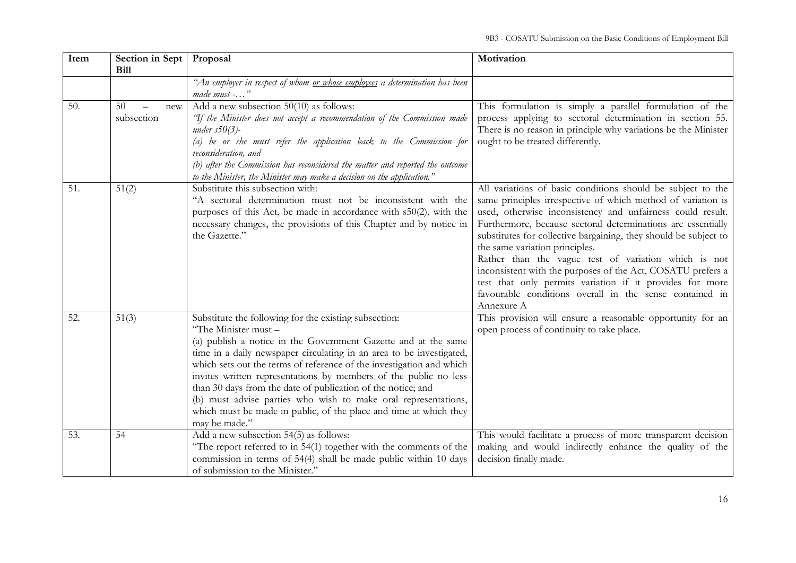| Item | Section in Sept<br>Bill | Proposal                                                                                                                                                                                                                                                                                                                                                                                                                                                                                                                                                                                    | Motivation                                                                                                                                                                                                                                                                                                                                                                                                                                                                                                                                                                                                                  |
|------|-------------------------|---------------------------------------------------------------------------------------------------------------------------------------------------------------------------------------------------------------------------------------------------------------------------------------------------------------------------------------------------------------------------------------------------------------------------------------------------------------------------------------------------------------------------------------------------------------------------------------------|-----------------------------------------------------------------------------------------------------------------------------------------------------------------------------------------------------------------------------------------------------------------------------------------------------------------------------------------------------------------------------------------------------------------------------------------------------------------------------------------------------------------------------------------------------------------------------------------------------------------------------|
|      |                         | "An employer in respect of whom <u>or whose employees</u> a determination has been<br>made must -"                                                                                                                                                                                                                                                                                                                                                                                                                                                                                          |                                                                                                                                                                                                                                                                                                                                                                                                                                                                                                                                                                                                                             |
| 50.  | 50<br>new<br>subsection | Add a new subsection 50(10) as follows:<br>"If the Minister does not accept a recommendation of the Commission made<br>under $s50(3)$ -<br>(a) he or she must refer the application back to the Commission for<br>reconsideration, and<br>(b) after the Commission has reconsidered the matter and reported the outcome<br>to the Minister, the Minister may make a decision on the application."                                                                                                                                                                                           | This formulation is simply a parallel formulation of the<br>process applying to sectoral determination in section 55.<br>There is no reason in principle why variations be the Minister<br>ought to be treated differently.                                                                                                                                                                                                                                                                                                                                                                                                 |
| 51.  | 51(2)                   | Substitute this subsection with:<br>"A sectoral determination must not be inconsistent with the<br>purposes of this Act, be made in accordance with s50(2), with the<br>necessary changes, the provisions of this Chapter and by notice in<br>the Gazette."                                                                                                                                                                                                                                                                                                                                 | All variations of basic conditions should be subject to the<br>same principles irrespective of which method of variation is<br>used, otherwise inconsistency and unfairness could result.<br>Furthermore, because sectoral determinations are essentially<br>substitutes for collective bargaining, they should be subject to<br>the same variation principles.<br>Rather than the vague test of variation which is not<br>inconsistent with the purposes of the Act, COSATU prefers a<br>test that only permits variation if it provides for more<br>favourable conditions overall in the sense contained in<br>Annexure A |
| 52.  | 51(3)                   | Substitute the following for the existing subsection:<br>"The Minister must -<br>(a) publish a notice in the Government Gazette and at the same<br>time in a daily newspaper circulating in an area to be investigated,<br>which sets out the terms of reference of the investigation and which<br>invites written representations by members of the public no less<br>than 30 days from the date of publication of the notice; and<br>(b) must advise parties who wish to make oral representations,<br>which must be made in public, of the place and time at which they<br>may be made." | This provision will ensure a reasonable opportunity for an<br>open process of continuity to take place.                                                                                                                                                                                                                                                                                                                                                                                                                                                                                                                     |
| 53.  | 54                      | Add a new subsection 54(5) as follows:<br>"The report referred to in $54(1)$ together with the comments of the<br>commission in terms of 54(4) shall be made public within 10 days<br>of submission to the Minister."                                                                                                                                                                                                                                                                                                                                                                       | This would facilitate a process of more transparent decision<br>making and would indirectly enhance the quality of the<br>decision finally made.                                                                                                                                                                                                                                                                                                                                                                                                                                                                            |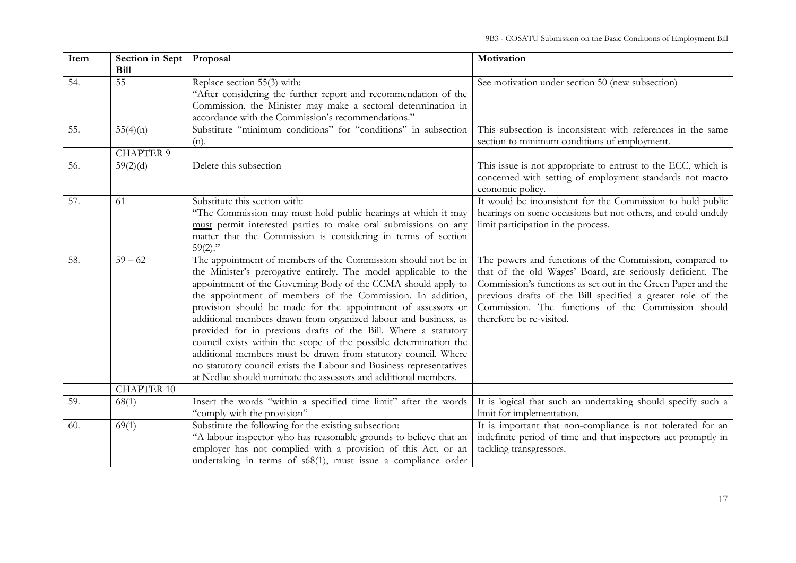| Item | Section in Sept<br><b>Bill</b> | Proposal                                                                                                                                                                                                                                                                                                                                                                                                                                                                                                                                                                                                                                                                                                                                               | Motivation                                                                                                                                                                                                                                                                                                                             |
|------|--------------------------------|--------------------------------------------------------------------------------------------------------------------------------------------------------------------------------------------------------------------------------------------------------------------------------------------------------------------------------------------------------------------------------------------------------------------------------------------------------------------------------------------------------------------------------------------------------------------------------------------------------------------------------------------------------------------------------------------------------------------------------------------------------|----------------------------------------------------------------------------------------------------------------------------------------------------------------------------------------------------------------------------------------------------------------------------------------------------------------------------------------|
| 54.  | 55                             | Replace section 55(3) with:<br>"After considering the further report and recommendation of the<br>Commission, the Minister may make a sectoral determination in<br>accordance with the Commission's recommendations."                                                                                                                                                                                                                                                                                                                                                                                                                                                                                                                                  | See motivation under section 50 (new subsection)                                                                                                                                                                                                                                                                                       |
| 55.  | 55(4)(n)                       | Substitute "minimum conditions" for "conditions" in subsection<br>(n).                                                                                                                                                                                                                                                                                                                                                                                                                                                                                                                                                                                                                                                                                 | This subsection is inconsistent with references in the same<br>section to minimum conditions of employment.                                                                                                                                                                                                                            |
|      | <b>CHAPTER 9</b>               |                                                                                                                                                                                                                                                                                                                                                                                                                                                                                                                                                                                                                                                                                                                                                        |                                                                                                                                                                                                                                                                                                                                        |
| 56.  | 59(2)(d)                       | Delete this subsection                                                                                                                                                                                                                                                                                                                                                                                                                                                                                                                                                                                                                                                                                                                                 | This issue is not appropriate to entrust to the ECC, which is<br>concerned with setting of employment standards not macro<br>economic policy.                                                                                                                                                                                          |
| 57.  | 61                             | Substitute this section with:<br>"The Commission may must hold public hearings at which it may<br>must permit interested parties to make oral submissions on any<br>matter that the Commission is considering in terms of section<br>$59(2)$ ."                                                                                                                                                                                                                                                                                                                                                                                                                                                                                                        | It would be inconsistent for the Commission to hold public<br>hearings on some occasions but not others, and could unduly<br>limit participation in the process.                                                                                                                                                                       |
| 58.  | $59 - 62$                      | The appointment of members of the Commission should not be in<br>the Minister's prerogative entirely. The model applicable to the<br>appointment of the Governing Body of the CCMA should apply to<br>the appointment of members of the Commission. In addition,<br>provision should be made for the appointment of assessors or<br>additional members drawn from organized labour and business, as<br>provided for in previous drafts of the Bill. Where a statutory<br>council exists within the scope of the possible determination the<br>additional members must be drawn from statutory council. Where<br>no statutory council exists the Labour and Business representatives<br>at Nedlac should nominate the assessors and additional members. | The powers and functions of the Commission, compared to<br>that of the old Wages' Board, are seriously deficient. The<br>Commission's functions as set out in the Green Paper and the<br>previous drafts of the Bill specified a greater role of the<br>Commission. The functions of the Commission should<br>therefore be re-visited. |
|      | <b>CHAPTER 10</b>              |                                                                                                                                                                                                                                                                                                                                                                                                                                                                                                                                                                                                                                                                                                                                                        |                                                                                                                                                                                                                                                                                                                                        |
| 59.  | 68(1)                          | Insert the words "within a specified time limit" after the words<br>"comply with the provision"                                                                                                                                                                                                                                                                                                                                                                                                                                                                                                                                                                                                                                                        | It is logical that such an undertaking should specify such a<br>limit for implementation.                                                                                                                                                                                                                                              |
| 60.  | 69(1)                          | Substitute the following for the existing subsection:<br>"A labour inspector who has reasonable grounds to believe that an<br>employer has not complied with a provision of this Act, or an<br>undertaking in terms of s68(1), must issue a compliance order                                                                                                                                                                                                                                                                                                                                                                                                                                                                                           | It is important that non-compliance is not tolerated for an<br>indefinite period of time and that inspectors act promptly in<br>tackling transgressors.                                                                                                                                                                                |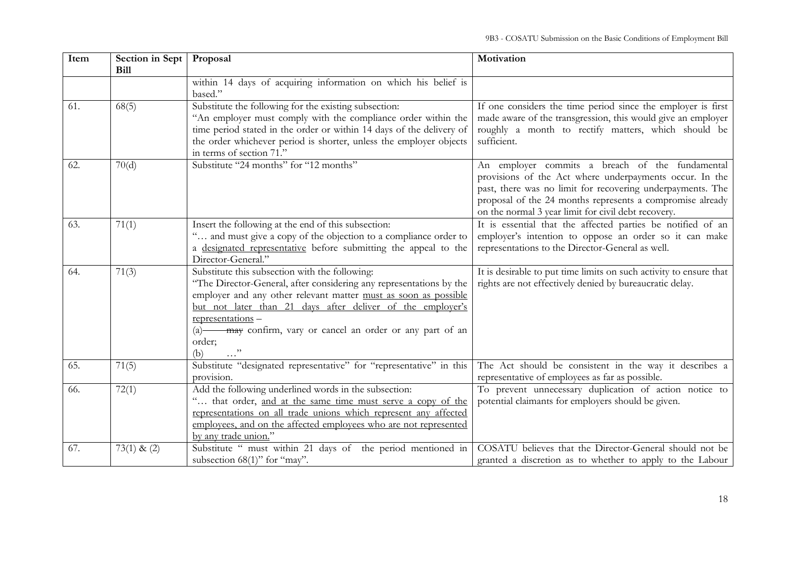| Item | Section in Sept<br><b>Bill</b> | Proposal                                                                                                                                                                                                                                                                                                                                                   | Motivation                                                                                                                                                                                                                                                                                   |
|------|--------------------------------|------------------------------------------------------------------------------------------------------------------------------------------------------------------------------------------------------------------------------------------------------------------------------------------------------------------------------------------------------------|----------------------------------------------------------------------------------------------------------------------------------------------------------------------------------------------------------------------------------------------------------------------------------------------|
|      |                                | within 14 days of acquiring information on which his belief is<br>based."                                                                                                                                                                                                                                                                                  |                                                                                                                                                                                                                                                                                              |
| 61.  | 68(5)                          | Substitute the following for the existing subsection:<br>"An employer must comply with the compliance order within the<br>time period stated in the order or within 14 days of the delivery of<br>the order whichever period is shorter, unless the employer objects<br>in terms of section 71."                                                           | If one considers the time period since the employer is first<br>made aware of the transgression, this would give an employer<br>roughly a month to rectify matters, which should be<br>sufficient.                                                                                           |
| 62.  | 70(d)                          | Substitute "24 months" for "12 months"                                                                                                                                                                                                                                                                                                                     | An employer commits a breach of the fundamental<br>provisions of the Act where underpayments occur. In the<br>past, there was no limit for recovering underpayments. The<br>proposal of the 24 months represents a compromise already<br>on the normal 3 year limit for civil debt recovery. |
| 63.  | 71(1)                          | Insert the following at the end of this subsection:<br>" and must give a copy of the objection to a compliance order to<br>a designated representative before submitting the appeal to the<br>Director-General."                                                                                                                                           | It is essential that the affected parties be notified of an<br>employer's intention to oppose an order so it can make<br>representations to the Director-General as well.                                                                                                                    |
| 64.  | 71(3)                          | Substitute this subsection with the following:<br>"The Director-General, after considering any representations by the<br>employer and any other relevant matter must as soon as possible<br>but not later than 21 days after deliver of the employer's<br>representations -<br>(a) may confirm, vary or cancel an order or any part of an<br>order;<br>(b) | It is desirable to put time limits on such activity to ensure that<br>rights are not effectively denied by bureaucratic delay.                                                                                                                                                               |
| 65.  | 71(5)                          | Substitute "designated representative" for "representative" in this<br>provision.                                                                                                                                                                                                                                                                          | The Act should be consistent in the way it describes a<br>representative of employees as far as possible.                                                                                                                                                                                    |
| 66.  | 72(1)                          | Add the following underlined words in the subsection:<br>" that order, and at the same time must serve a copy of the<br>representations on all trade unions which represent any affected<br>employees, and on the affected employees who are not represented<br>by any trade union."                                                                       | To prevent unnecessary duplication of action notice to<br>potential claimants for employers should be given.                                                                                                                                                                                 |
| 67.  | $73(1)$ & (2)                  | Substitute " must within 21 days of the period mentioned in<br>subsection $68(1)$ " for "may".                                                                                                                                                                                                                                                             | COSATU believes that the Director-General should not be<br>granted a discretion as to whether to apply to the Labour                                                                                                                                                                         |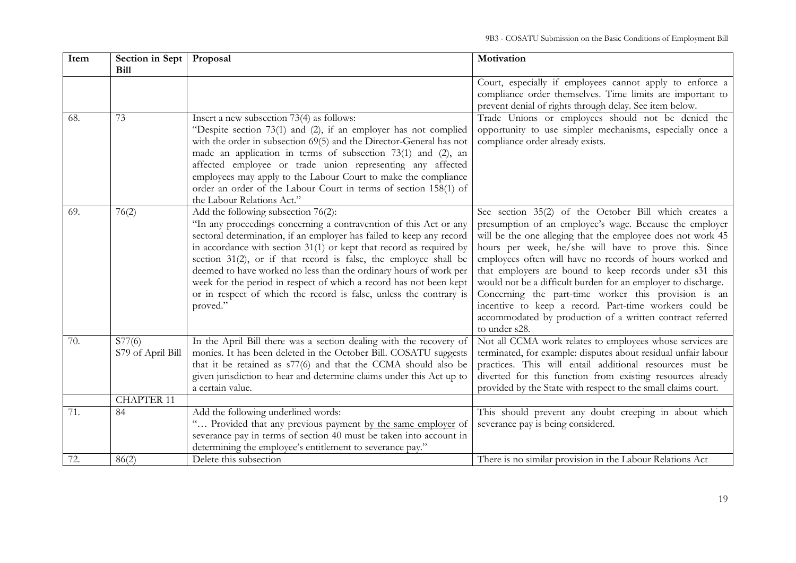| Item | Section in Sept             | Proposal                                                                                                                                                                                                                                                                                                                                                                                                                                                                                                                                                    | Motivation                                                                                                                                                                                                                                                                                                                                                                                                                                                                                                                                                                                                                       |
|------|-----------------------------|-------------------------------------------------------------------------------------------------------------------------------------------------------------------------------------------------------------------------------------------------------------------------------------------------------------------------------------------------------------------------------------------------------------------------------------------------------------------------------------------------------------------------------------------------------------|----------------------------------------------------------------------------------------------------------------------------------------------------------------------------------------------------------------------------------------------------------------------------------------------------------------------------------------------------------------------------------------------------------------------------------------------------------------------------------------------------------------------------------------------------------------------------------------------------------------------------------|
|      | <b>Bill</b>                 |                                                                                                                                                                                                                                                                                                                                                                                                                                                                                                                                                             | Court, especially if employees cannot apply to enforce a<br>compliance order themselves. Time limits are important to<br>prevent denial of rights through delay. See item below.                                                                                                                                                                                                                                                                                                                                                                                                                                                 |
| 68.  | 73                          | Insert a new subsection 73(4) as follows:<br>"Despite section 73(1) and (2), if an employer has not complied<br>with the order in subsection 69(5) and the Director-General has not<br>made an application in terms of subsection $73(1)$ and $(2)$ , an<br>affected employee or trade union representing any affected<br>employees may apply to the Labour Court to make the compliance<br>order an order of the Labour Court in terms of section 158(1) of<br>the Labour Relations Act."                                                                  | Trade Unions or employees should not be denied the<br>opportunity to use simpler mechanisms, especially once a<br>compliance order already exists.                                                                                                                                                                                                                                                                                                                                                                                                                                                                               |
| 69.  | 76(2)                       | Add the following subsection $76(2)$ :<br>"In any proceedings concerning a contravention of this Act or any<br>sectoral determination, if an employer has failed to keep any record<br>in accordance with section 31(1) or kept that record as required by<br>section 31(2), or if that record is false, the employee shall be<br>deemed to have worked no less than the ordinary hours of work per<br>week for the period in respect of which a record has not been kept<br>or in respect of which the record is false, unless the contrary is<br>proved." | See section 35(2) of the October Bill which creates a<br>presumption of an employee's wage. Because the employer<br>will be the one alleging that the employee does not work 45<br>hours per week, he/she will have to prove this. Since<br>employees often will have no records of hours worked and<br>that employers are bound to keep records under s31 this<br>would not be a difficult burden for an employer to discharge.<br>Concerning the part-time worker this provision is an<br>incentive to keep a record. Part-time workers could be<br>accommodated by production of a written contract referred<br>to under s28. |
| 70.  | S77(6)<br>S79 of April Bill | In the April Bill there was a section dealing with the recovery of<br>monies. It has been deleted in the October Bill. COSATU suggests<br>that it be retained as s77(6) and that the CCMA should also be<br>given jurisdiction to hear and determine claims under this Act up to<br>a certain value.                                                                                                                                                                                                                                                        | Not all CCMA work relates to employees whose services are<br>terminated, for example: disputes about residual unfair labour<br>practices. This will entail additional resources must be<br>diverted for this function from existing resources already<br>provided by the State with respect to the small claims court.                                                                                                                                                                                                                                                                                                           |
|      | <b>CHAPTER 11</b>           |                                                                                                                                                                                                                                                                                                                                                                                                                                                                                                                                                             |                                                                                                                                                                                                                                                                                                                                                                                                                                                                                                                                                                                                                                  |
| 71.  | 84                          | Add the following underlined words:<br>" Provided that any previous payment by the same employer of<br>severance pay in terms of section 40 must be taken into account in<br>determining the employee's entitlement to severance pay."                                                                                                                                                                                                                                                                                                                      | This should prevent any doubt creeping in about which<br>severance pay is being considered.                                                                                                                                                                                                                                                                                                                                                                                                                                                                                                                                      |
| 72.  | 86(2)                       | Delete this subsection                                                                                                                                                                                                                                                                                                                                                                                                                                                                                                                                      | There is no similar provision in the Labour Relations Act                                                                                                                                                                                                                                                                                                                                                                                                                                                                                                                                                                        |